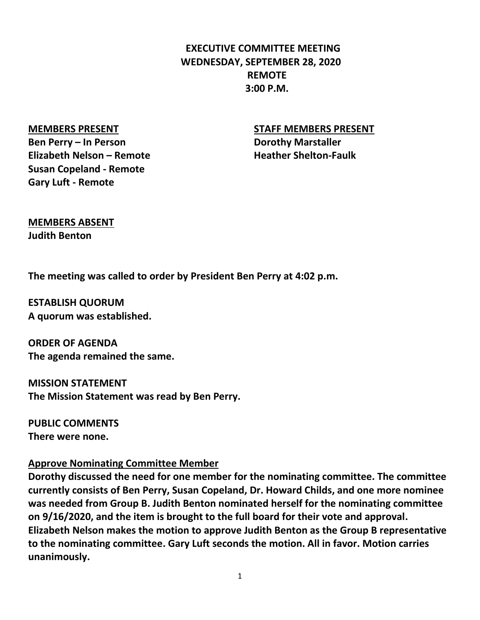# **3:00 P.M. REMOTE WEDNESDAY, SEPTEMBER 28, 2020 EXECUTIVE COMMITTEE MEETING**

#### **MEMBERS PRESENT**

**Ben Perry – In Person Elizabeth Nelson – Remote Susan Copeland - Remote Gary Luft - Remote**

#### **STAFF MEMBERS PRESENT**

**Heather Shelton-Faulk Dorothy Marstaller**

## **MEMBERS ABSENT Judith Benton**

**The meeting was called to order by President Ben Perry at 4:02 p.m.**

**A quorum was established. ESTABLISH QUORUM**

**The agenda remained the same. ORDER OF AGENDA**

**The Mission Statement was read by Ben Perry. MISSION STATEMENT**

**There were none. PUBLIC COMMENTS**

#### **Approve Nominating Committee Member**

**unanimously. to the nominating committee. Gary Luft seconds the motion. All in favor. Motion carries Elizabeth Nelson makes the motion to approve Judith Benton as the Group B representative on 9/16/2020, and the item is brought to the full board for their vote and approval. was needed from Group B. Judith Benton nominated herself for the nominating committee currently consists of Ben Perry, Susan Copeland, Dr. Howard Childs, and one more nominee Dorothy discussed the need for one member for the nominating committee. The committee**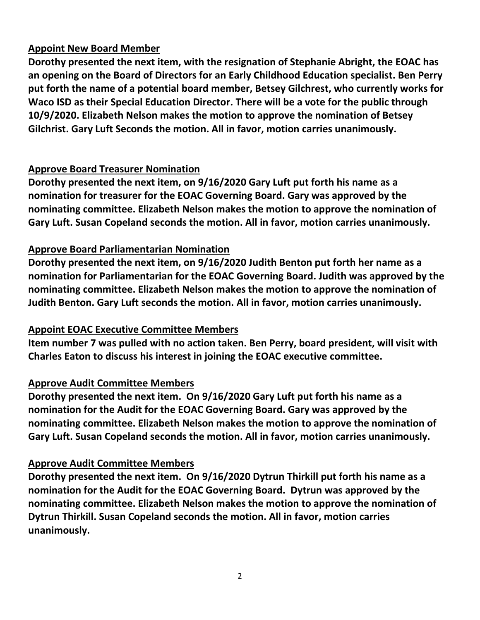## **Appoint New Board Member**

**Dorothy presented the next item, with the resignation of Stephanie Abright, the EOAC has an opening on the Board of Directors for an Early Childhood Education specialist. Ben Perry put forth the name of a potential board member, Betsey Gilchrest, who currently works for Waco ISD as their Special Education Director. There will be a vote for the public through 10/9/2020. Elizabeth Nelson makes the motion to approve the nomination of Betsey Gilchrist. Gary Luft Seconds the motion. All in favor, motion carries unanimously.** 

### **Approve Board Treasurer Nomination**

**Gary Luft. Susan Copeland seconds the motion. All in favor, motion carries unanimously. nominating committee. Elizabeth Nelson makes the motion to approve the nomination of nomination for treasurer for the EOAC Governing Board. Gary was approved by the Dorothy presented the next item, on 9/16/2020 Gary Luft put forth his name as a**

## **Approve Board Parliamentarian Nomination**

**Judith Benton. Gary Luft seconds the motion. All in favor, motion carries unanimously. nominating committee. Elizabeth Nelson makes the motion to approve the nomination of nomination for Parliamentarian for the EOAC Governing Board. Judith was approved by the Dorothy presented the next item, on 9/16/2020 Judith Benton put forth her name as a**

### **Appoint EOAC Executive Committee Members**

**Charles Eaton to discuss his interest in joining the EOAC executive committee. Item number 7 was pulled with no action taken. Ben Perry, board president, will visit with**

## **Approve Audit Committee Members**

**Gary Luft. Susan Copeland seconds the motion. All in favor, motion carries unanimously. nominating committee. Elizabeth Nelson makes the motion to approve the nomination of nomination for the Audit for the EOAC Governing Board. Gary was approved by the Dorothy presented the next item. On 9/16/2020 Gary Luft put forth his name as a**

### **Approve Audit Committee Members**

**unanimously. Dytrun Thirkill. Susan Copeland seconds the motion. All in favor, motion carries nominating committee. Elizabeth Nelson makes the motion to approve the nomination of nomination for the Audit for the EOAC Governing Board. Dytrun was approved by the Dorothy presented the next item. On 9/16/2020 Dytrun Thirkill put forth his name as a**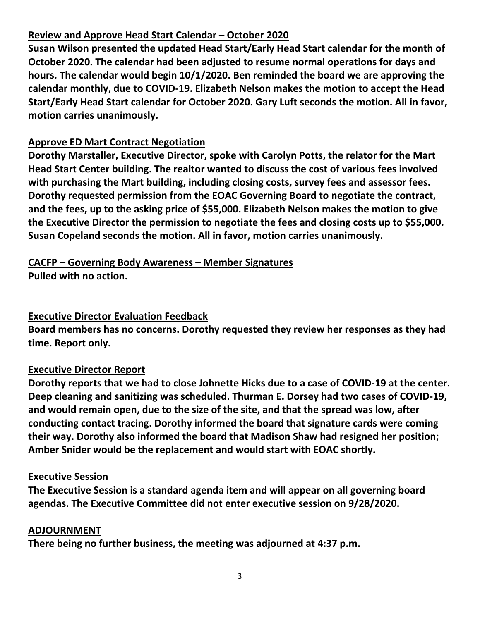## **Review and Approve Head Start Calendar – October 2020**

**Susan Wilson presented the updated Head Start/Early Head Start calendar for the month of October 2020. The calendar had been adjusted to resume normal operations for days and hours. The calendar would begin 10/1/2020. Ben reminded the board we are approving the calendar monthly, due to COVID-19. Elizabeth Nelson makes the motion to accept the Head Start/Early Head Start calendar for October 2020. Gary Luft seconds the motion. All in favor, motion carries unanimously.** 

# **Approve ED Mart Contract Negotiation**

**Dorothy Marstaller, Executive Director, spoke with Carolyn Potts, the relator for the Mart Head Start Center building. The realtor wanted to discuss the cost of various fees involved with purchasing the Mart building, including closing costs, survey fees and assessor fees. Dorothy requested permission from the EOAC Governing Board to negotiate the contract, and the fees, up to the asking price of \$55,000. Elizabeth Nelson makes the motion to give the Executive Director the permission to negotiate the fees and closing costs up to \$55,000. Susan Copeland seconds the motion. All in favor, motion carries unanimously.** 

#### **CACFP – Governing Body Awareness – Member Signatures Pulled with no action.**

## **Executive Director Evaluation Feedback**

**Board members has no concerns. Dorothy requested they review her responses as they had time. Report only.** 

## **Executive Director Report**

**Dorothy reports that we had to close Johnette Hicks due to a case of COVID-19 at the center. Deep cleaning and sanitizing was scheduled. Thurman E. Dorsey had two cases of COVID-19, and would remain open, due to the size of the site, and that the spread was low, after conducting contact tracing. Dorothy informed the board that signature cards were coming their way. Dorothy also informed the board that Madison Shaw had resigned her position; Amber Snider would be the replacement and would start with EOAC shortly.** 

### **Executive Session**

**The Executive Session is a standard agenda item and will appear on all governing board agendas. The Executive Committee did not enter executive session on 9/28/2020.** 

### **ADJOURNMENT**

**There being no further business, the meeting was adjourned at 4:37 p.m.**